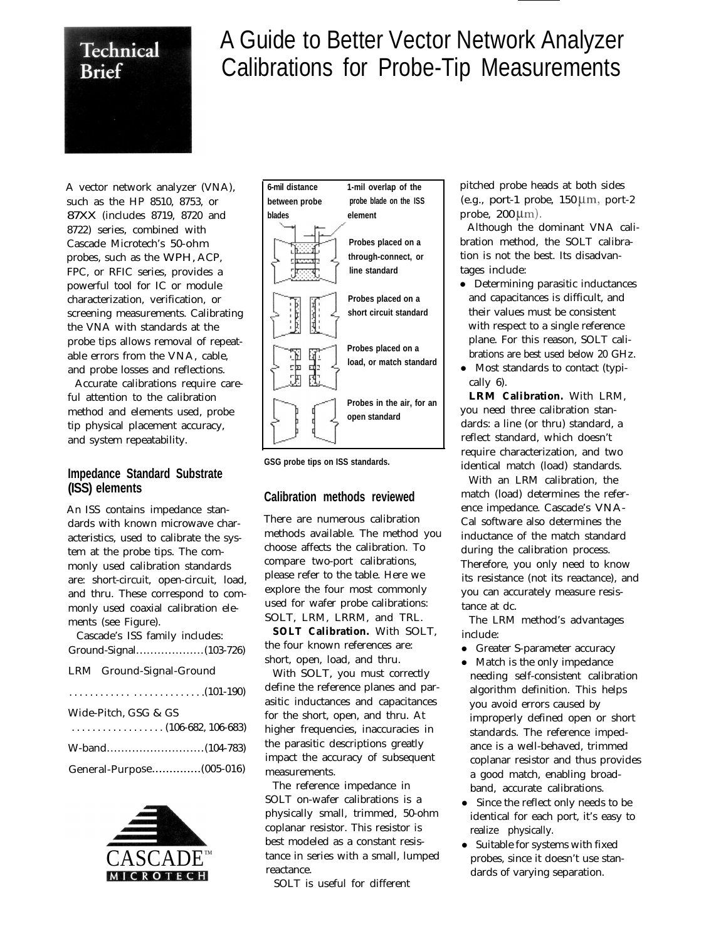

## A Guide to Better Vector Network Analyzer Calibrations for Probe-Tip Measurements

A vector network analyzer (VNA), such as the HP 8510, 8753, or 87XX (includes 8719, 8720 and 8722) series, combined with Cascade Microtech's 50-ohm probes, such as the WPH, ACP, FPC, or RFIC series, provides a powerful tool for IC or module characterization, verification, or screening measurements. Calibrating the VNA with standards at the probe tips allows removal of repeatable errors from the VNA, cable, and probe losses and reflections.

Accurate calibrations require careful attention to the calibration method and elements used, probe tip physical placement accuracy, and system repeatability.

## **Impedance Standard Substrate (ISS) elements**

An ISS contains impedance standards with known microwave characteristics, used to calibrate the system at the probe tips. The commonly used calibration standards are: short-circuit, open-circuit, load, and thru. These correspond to commonly used coaxial calibration elements (see Figure).

| Cascade's ISS family includes:                                 |  |  |  |  |  |
|----------------------------------------------------------------|--|--|--|--|--|
|                                                                |  |  |  |  |  |
| LRM Ground-Signal-Ground                                       |  |  |  |  |  |
|                                                                |  |  |  |  |  |
| Wide-Pitch, GSG & GS                                           |  |  |  |  |  |
| $\ldots \ldots \ldots \ldots \ldots \ldots (106-682, 106-683)$ |  |  |  |  |  |
|                                                                |  |  |  |  |  |
|                                                                |  |  |  |  |  |





**GSG probe tips on ISS standards.**

## **Calibration methods reviewed**

There are numerous calibration methods available. The method you choose affects the calibration. To compare two-port calibrations, please refer to the table. Here we explore the four most commonly used for wafer probe calibrations: SOLT, LRM, LRRM, and TRL.

**SOLT Calibration.** With SOLT, the four known references are: short, open, load, and thru.

With SOLT, you must correctly define the reference planes and parasitic inductances and capacitances for the short, open, and thru. At higher frequencies, inaccuracies in the parasitic descriptions greatly impact the accuracy of subsequent measurements.

The reference impedance in SOLT on-wafer calibrations is a physically small, trimmed, 50-ohm coplanar resistor. This resistor is best modeled as a constant resistance in series with a small, lumped reactance.

SOLT is useful for different

pitched probe heads at both sides (e.g., port-1 probe,  $150 \mu m$ , port-2 probe,  $200 \mu m$ ).

Although the dominant VNA calibration method, the SOLT calibration is not the best. Its disadvantages include:

- Determining parasitic inductances and capacitances is difficult, and their values must be consistent with respect to a single reference plane. For this reason, SOLT calibrations are best used below 20 GHz.
- Most standards to contact (typically 6).

**LRM Calibration.** With LRM, you need three calibration standards: a line (or thru) standard, a reflect standard, which doesn't require characterization, and two identical match (load) standards.

With an LRM calibration, the match (load) determines the reference impedance. Cascade's VNA-Cal software also determines the inductance of the match standard during the calibration process. Therefore, you only need to know its resistance (not its reactance), and you can accurately measure resistance at dc.

The LRM method's advantages include:

- Greater S-parameter accuracy
- Match is the only impedance needing self-consistent calibration algorithm definition. This helps you avoid errors caused by improperly defined open or short standards. The reference impedance is a well-behaved, trimmed coplanar resistor and thus provides a good match, enabling broadband, accurate calibrations.
- Since the reflect only needs to be identical for each port, it's easy to realize physically.
- Suitable for systems with fixed probes, since it doesn't use standards of varying separation.